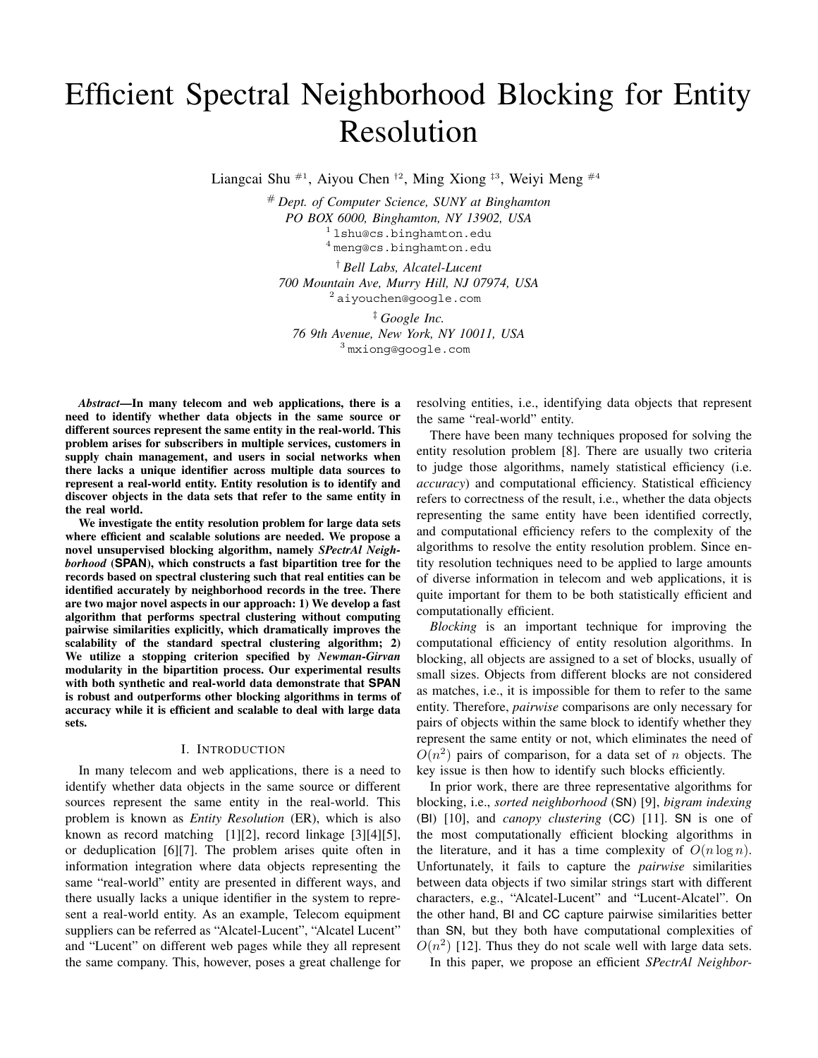# Efficient Spectral Neighborhood Blocking for Entity Resolution

Liangcai Shu  $\#$ <sup>1</sup>, Aiyou Chen <sup>†2</sup>, Ming Xiong <sup>‡3</sup>, Weiyi Meng  $\#$ <sup>4</sup>

# *Dept. of Computer Science, SUNY at Binghamton PO BOX 6000, Binghamton, NY 13902, USA* <sup>1</sup> lshu@cs.binghamton.edu <sup>4</sup> meng@cs.binghamton.edu

† *Bell Labs, Alcatel-Lucent 700 Mountain Ave, Murry Hill, NJ 07974, USA* <sup>2</sup> aiyouchen@google.com

‡ *Google Inc. 76 9th Avenue, New York, NY 10011, USA* <sup>3</sup> mxiong@google.com

*Abstract***—In many telecom and web applications, there is a need to identify whether data objects in the same source or different sources represent the same entity in the real-world. This problem arises for subscribers in multiple services, customers in supply chain management, and users in social networks when there lacks a unique identifier across multiple data sources to represent a real-world entity. Entity resolution is to identify and discover objects in the data sets that refer to the same entity in the real world.**

**We investigate the entity resolution problem for large data sets where efficient and scalable solutions are needed. We propose a novel unsupervised blocking algorithm, namely** *SPectrAl Neighborhood* **(SPAN), which constructs a fast bipartition tree for the records based on spectral clustering such that real entities can be identified accurately by neighborhood records in the tree. There are two major novel aspects in our approach: 1) We develop a fast algorithm that performs spectral clustering without computing pairwise similarities explicitly, which dramatically improves the scalability of the standard spectral clustering algorithm; 2) We utilize a stopping criterion specified by** *Newman-Girvan* **modularity in the bipartition process. Our experimental results with both synthetic and real-world data demonstrate that SPAN is robust and outperforms other blocking algorithms in terms of accuracy while it is efficient and scalable to deal with large data sets.**

## I. INTRODUCTION

In many telecom and web applications, there is a need to identify whether data objects in the same source or different sources represent the same entity in the real-world. This problem is known as *Entity Resolution* (ER), which is also known as record matching [1][2], record linkage [3][4][5], or deduplication [6][7]. The problem arises quite often in information integration where data objects representing the same "real-world" entity are presented in different ways, and there usually lacks a unique identifier in the system to represent a real-world entity. As an example, Telecom equipment suppliers can be referred as "Alcatel-Lucent", "Alcatel Lucent" and "Lucent" on different web pages while they all represent the same company. This, however, poses a great challenge for

resolving entities, i.e., identifying data objects that represent the same "real-world" entity.

There have been many techniques proposed for solving the entity resolution problem [8]. There are usually two criteria to judge those algorithms, namely statistical efficiency (i.e. *accuracy*) and computational efficiency. Statistical efficiency refers to correctness of the result, i.e., whether the data objects representing the same entity have been identified correctly, and computational efficiency refers to the complexity of the algorithms to resolve the entity resolution problem. Since entity resolution techniques need to be applied to large amounts of diverse information in telecom and web applications, it is quite important for them to be both statistically efficient and computationally efficient.

*Blocking* is an important technique for improving the computational efficiency of entity resolution algorithms. In blocking, all objects are assigned to a set of blocks, usually of small sizes. Objects from different blocks are not considered as matches, i.e., it is impossible for them to refer to the same entity. Therefore, *pairwise* comparisons are only necessary for pairs of objects within the same block to identify whether they represent the same entity or not, which eliminates the need of  $O(n^2)$  pairs of comparison, for a data set of *n* objects. The key issue is then how to identify such blocks efficiently.

In prior work, there are three representative algorithms for blocking, i.e., *sorted neighborhood* (SN) [9], *bigram indexing* (BI) [10], and *canopy clustering* (CC) [11]. SN is one of the most computationally efficient blocking algorithms in the literature, and it has a time complexity of  $O(n \log n)$ . Unfortunately, it fails to capture the *pairwise* similarities between data objects if two similar strings start with different characters, e.g., "Alcatel-Lucent" and "Lucent-Alcatel". On the other hand, BI and CC capture pairwise similarities better than SN, but they both have computational complexities of  $O(n^2)$  [12]. Thus they do not scale well with large data sets.

In this paper, we propose an efficient *SPectrAl Neighbor-*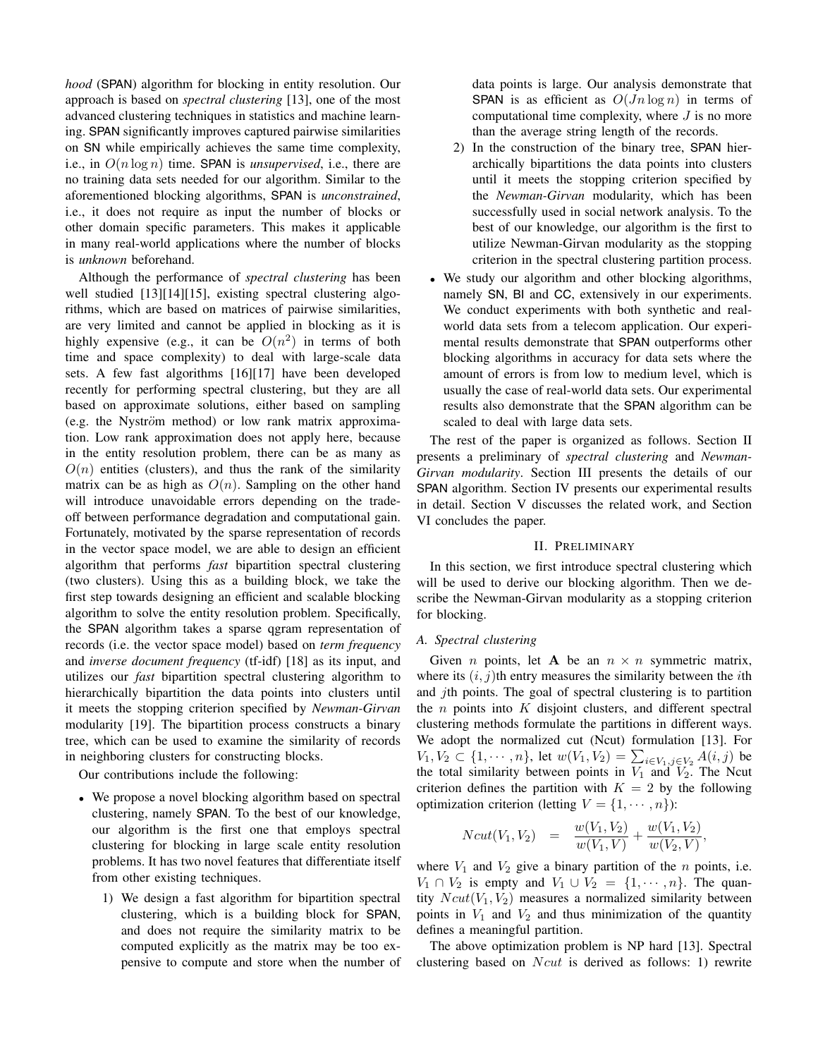*hood* (SPAN) algorithm for blocking in entity resolution. Our approach is based on *spectral clustering* [13], one of the most advanced clustering techniques in statistics and machine learning. SPAN significantly improves captured pairwise similarities on SN while empirically achieves the same time complexity, i.e., in  $O(n \log n)$  time. SPAN is *unsupervised*, i.e., there are no training data sets needed for our algorithm. Similar to the aforementioned blocking algorithms, SPAN is *unconstrained*, i.e., it does not require as input the number of blocks or other domain specific parameters. This makes it applicable in many real-world applications where the number of blocks is *unknown* beforehand.

Although the performance of *spectral clustering* has been well studied [13][14][15], existing spectral clustering algorithms, which are based on matrices of pairwise similarities, are very limited and cannot be applied in blocking as it is highly expensive (e.g., it can be  $O(n^2)$  in terms of both time and space complexity) to deal with large-scale data sets. A few fast algorithms [16][17] have been developed recently for performing spectral clustering, but they are all based on approximate solutions, either based on sampling  $(e.g. the Nyström method)$  or low rank matrix approximation. Low rank approximation does not apply here, because in the entity resolution problem, there can be as many as  $O(n)$  entities (clusters), and thus the rank of the similarity matrix can be as high as  $O(n)$ . Sampling on the other hand will introduce unavoidable errors depending on the tradeoff between performance degradation and computational gain. Fortunately, motivated by the sparse representation of records in the vector space model, we are able to design an efficient algorithm that performs *fast* bipartition spectral clustering (two clusters). Using this as a building block, we take the first step towards designing an efficient and scalable blocking algorithm to solve the entity resolution problem. Specifically, the SPAN algorithm takes a sparse qgram representation of records (i.e. the vector space model) based on *term frequency* and *inverse document frequency* (tf-idf) [18] as its input, and utilizes our *fast* bipartition spectral clustering algorithm to hierarchically bipartition the data points into clusters until it meets the stopping criterion specified by *Newman-Girvan* modularity [19]. The bipartition process constructs a binary tree, which can be used to examine the similarity of records in neighboring clusters for constructing blocks.

Our contributions include the following:

- <sup>∙</sup> We propose a novel blocking algorithm based on spectral clustering, namely SPAN. To the best of our knowledge, our algorithm is the first one that employs spectral clustering for blocking in large scale entity resolution problems. It has two novel features that differentiate itself from other existing techniques.
	- 1) We design a fast algorithm for bipartition spectral clustering, which is a building block for SPAN, and does not require the similarity matrix to be computed explicitly as the matrix may be too expensive to compute and store when the number of

data points is large. Our analysis demonstrate that SPAN is as efficient as  $O( Jn \log n )$  in terms of computational time complexity, where  $J$  is no more than the average string length of the records.

- 2) In the construction of the binary tree, SPAN hierarchically bipartitions the data points into clusters until it meets the stopping criterion specified by the *Newman-Girvan* modularity, which has been successfully used in social network analysis. To the best of our knowledge, our algorithm is the first to utilize Newman-Girvan modularity as the stopping criterion in the spectral clustering partition process.
- We study our algorithm and other blocking algorithms, namely SN, BI and CC, extensively in our experiments. We conduct experiments with both synthetic and realworld data sets from a telecom application. Our experimental results demonstrate that SPAN outperforms other blocking algorithms in accuracy for data sets where the amount of errors is from low to medium level, which is usually the case of real-world data sets. Our experimental results also demonstrate that the SPAN algorithm can be scaled to deal with large data sets.

The rest of the paper is organized as follows. Section II presents a preliminary of *spectral clustering* and *Newman-Girvan modularity*. Section III presents the details of our SPAN algorithm. Section IV presents our experimental results in detail. Section V discusses the related work, and Section VI concludes the paper.

# II. PRELIMINARY

In this section, we first introduce spectral clustering which will be used to derive our blocking algorithm. Then we describe the Newman-Girvan modularity as a stopping criterion for blocking.

# *A. Spectral clustering*

Given *n* points, let **A** be an  $n \times n$  symmetric matrix, where its  $(i, j)$ th entry measures the similarity between the *i*th and *i*th points. The goal of spectral clustering is to partition the  $n$  points into  $K$  disjoint clusters, and different spectral clustering methods formulate the partitions in different ways. We adopt the normalized cut (Ncut) formulation [13]. For  $V_1, V_2 \subset \{1, \dots, n\}$ , let  $w(V_1, V_2) = \sum_{i \in V_1, j \in V_2} A(i, j)$  be the total similarity between points in  $V_1$  and  $V_2$ . The Ncut criterion defines the partition with  $K = 2$  by the following optimization criterion (letting  $V = \{1, \dots, n\}$ ):

$$
Ncut(V_1, V_2) = \frac{w(V_1, V_2)}{w(V_1, V)} + \frac{w(V_1, V_2)}{w(V_2, V)},
$$

where  $V_1$  and  $V_2$  give a binary partition of the  $n$  points, i.e.  $V_1 \cap V_2$  is empty and  $V_1 \cup V_2 = \{1, \dots, n\}$ . The quantity  $Ncut(V_1, V_2)$  measures a normalized similarity between points in  $V_1$  and  $V_2$  and thus minimization of the quantity defines a meaningful partition.

The above optimization problem is NP hard [13]. Spectral clustering based on  $Ncut$  is derived as follows: 1) rewrite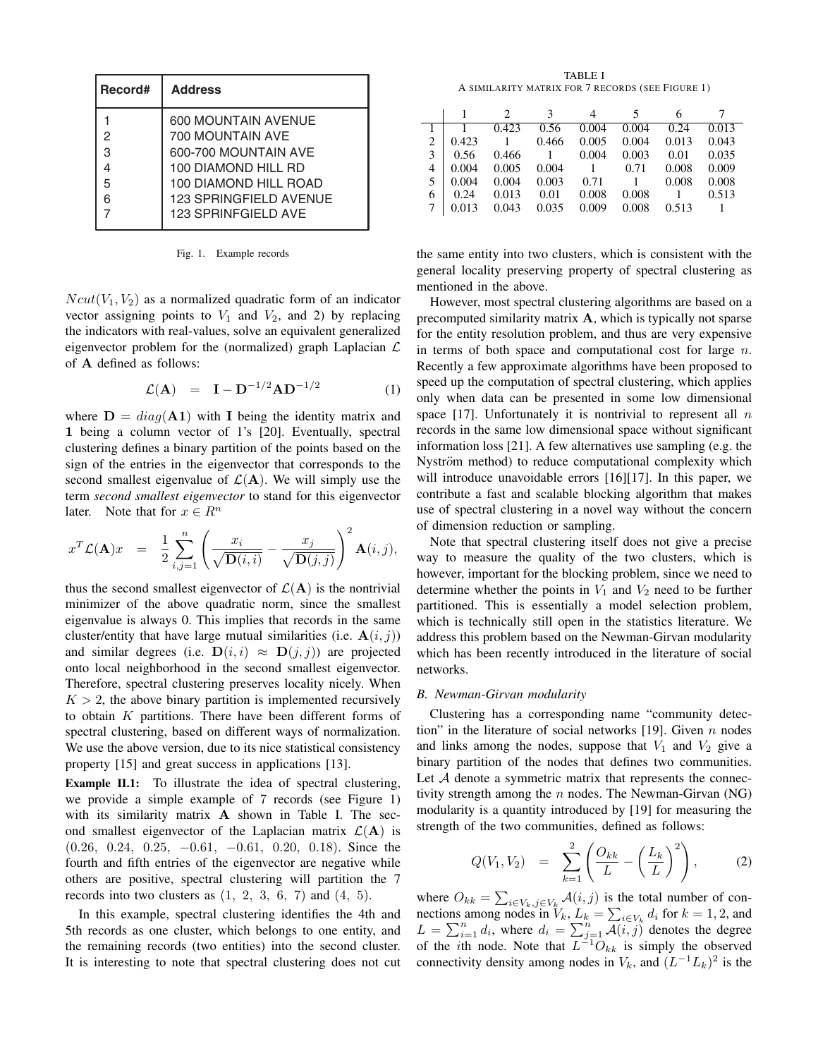| Record# | <b>Address</b>         |
|---------|------------------------|
|         | 600 MOUNTAIN AVENUE    |
| 2       | 700 MOUNTAIN AVE       |
| 3       | 600-700 MOUNTAIN AVE   |
|         | 100 DIAMOND HILL RD    |
| 5       | 100 DIAMOND HILL ROAD  |
| 6       | 123 SPRINGFIELD AVENUE |
|         | 123 SPRINFGIELD AVE    |

Fig. 1. Example records

 $Ncut(V_1, V_2)$  as a normalized quadratic form of an indicator vector assigning points to  $V_1$  and  $V_2$ , and 2) by replacing the indicators with real-values, solve an equivalent generalized eigenvector problem for the (normalized) graph Laplacian  $\mathcal L$ of **A** defined as follows:

$$
\mathcal{L}(\mathbf{A}) = \mathbf{I} - \mathbf{D}^{-1/2} \mathbf{A} \mathbf{D}^{-1/2}
$$
 (1)

where  $D = diag(A1)$  with **I** being the identity matrix and **1** being a column vector of 1's [20]. Eventually, spectral clustering defines a binary partition of the points based on the sign of the entries in the eigenvector that corresponds to the second smallest eigenvalue of  $\mathcal{L}(\mathbf{A})$ . We will simply use the term *second smallest eigenvector* to stand for this eigenvector later. Note that for  $x \in R^n$ 

$$
x^T \mathcal{L}(\mathbf{A}) x = \frac{1}{2} \sum_{i,j=1}^n \left( \frac{x_i}{\sqrt{\mathbf{D}(i,i)}} - \frac{x_j}{\sqrt{\mathbf{D}(j,j)}} \right)^2 \mathbf{A}(i,j),
$$

thus the second smallest eigenvector of  $\mathcal{L}(\mathbf{A})$  is the nontrivial minimizer of the above quadratic norm, since the smallest eigenvalue is always 0. This implies that records in the same cluster/entity that have large mutual similarities (i.e.  $A(i, j)$ ) and similar degrees (i.e.  $\mathbf{D}(i, i) \approx \mathbf{D}(i, i)$ ) are projected onto local neighborhood in the second smallest eigenvector. Therefore, spectral clustering preserves locality nicely. When  $K > 2$ , the above binary partition is implemented recursively to obtain  $K$  partitions. There have been different forms of spectral clustering, based on different ways of normalization. We use the above version, due to its nice statistical consistency property [15] and great success in applications [13].

**Example II.1:** To illustrate the idea of spectral clustering, we provide a simple example of 7 records (see Figure 1) with its similarity matrix **A** shown in Table I. The second smallest eigenvector of the Laplacian matrix  $\mathcal{L}(\mathbf{A})$  is (0.26, 0.24, 0.25, −0.61, −0.61, 0.20, 0.18). Since the fourth and fifth entries of the eigenvector are negative while others are positive, spectral clustering will partition the 7 records into two clusters as  $(1, 2, 3, 6, 7)$  and  $(4, 5)$ .

In this example, spectral clustering identifies the 4th and 5th records as one cluster, which belongs to one entity, and the remaining records (two entities) into the second cluster. It is interesting to note that spectral clustering does not cut

TABLE I A SIMILARITY MATRIX FOR 7 RECORDS (SEE FIGURE 1)

|                |       |       | 3     | 4     | 5     | 6     |       |
|----------------|-------|-------|-------|-------|-------|-------|-------|
|                |       | 0.423 | 0.56  | 0.004 | 0.004 | 0.24  | 0.013 |
| $\overline{c}$ | 0.423 |       | 0.466 | 0.005 | 0.004 | 0.013 | 0.043 |
| 3              | 0.56  | 0.466 |       | 0.004 | 0.003 | 0.01  | 0.035 |
| 4              | 0.004 | 0.005 | 0.004 |       | 0.71  | 0.008 | 0.009 |
| 5              | 0.004 | 0.004 | 0.003 | 0.71  |       | 0.008 | 0.008 |
| 6              | 0.24  | 0.013 | 0.01  | 0.008 | 0.008 |       | 0.513 |
|                | 0.013 | 0.043 | 0.035 | 0.009 | 0.008 | 0.513 |       |

the same entity into two clusters, which is consistent with the general locality preserving property of spectral clustering as mentioned in the above.

However, most spectral clustering algorithms are based on a precomputed similarity matrix **A**, which is typically not sparse for the entity resolution problem, and thus are very expensive in terms of both space and computational cost for large  $n$ . Recently a few approximate algorithms have been proposed to speed up the computation of spectral clustering, which applies only when data can be presented in some low dimensional space [17]. Unfortunately it is nontrivial to represent all  $n$ records in the same low dimensional space without significant information loss [21]. A few alternatives use sampling (e.g. the Nyström method) to reduce computational complexity which will introduce unavoidable errors [16][17]. In this paper, we contribute a fast and scalable blocking algorithm that makes use of spectral clustering in a novel way without the concern of dimension reduction or sampling.

Note that spectral clustering itself does not give a precise way to measure the quality of the two clusters, which is however, important for the blocking problem, since we need to determine whether the points in  $V_1$  and  $V_2$  need to be further partitioned. This is essentially a model selection problem, which is technically still open in the statistics literature. We address this problem based on the Newman-Girvan modularity which has been recently introduced in the literature of social networks.

## *B. Newman-Girvan modularity*

Clustering has a corresponding name "community detection" in the literature of social networks [19]. Given  $n$  nodes and links among the nodes, suppose that  $V_1$  and  $V_2$  give a binary partition of the nodes that defines two communities. Let  $A$  denote a symmetric matrix that represents the connectivity strength among the  $n$  nodes. The Newman-Girvan (NG) modularity is a quantity introduced by [19] for measuring the strength of the two communities, defined as follows:

$$
Q(V_1, V_2) = \sum_{k=1}^{2} \left( \frac{O_{kk}}{L} - \left( \frac{L_k}{L} \right)^2 \right), \quad (2)
$$

where  $O_{kk} = \sum_{i \in V_k, j \in V_k} A(i, j)$  is the total number of connections among nodes in  $V_k$ ,  $L_k = \sum_{i \in V_k} d_i$  for  $k = 1, 2$ , and  $L = \sum_{i=1}^n d_i$ , where  $d_i = \sum_{j=1}^n \mathcal{A}(i, j)$  denotes the degree of the *i*th node. Note that  $L^{-1}O_{kk}$  is simply the observed connectivity density among nodes in  $V_k$ , and  $(L^{-1}L_k)^2$  is the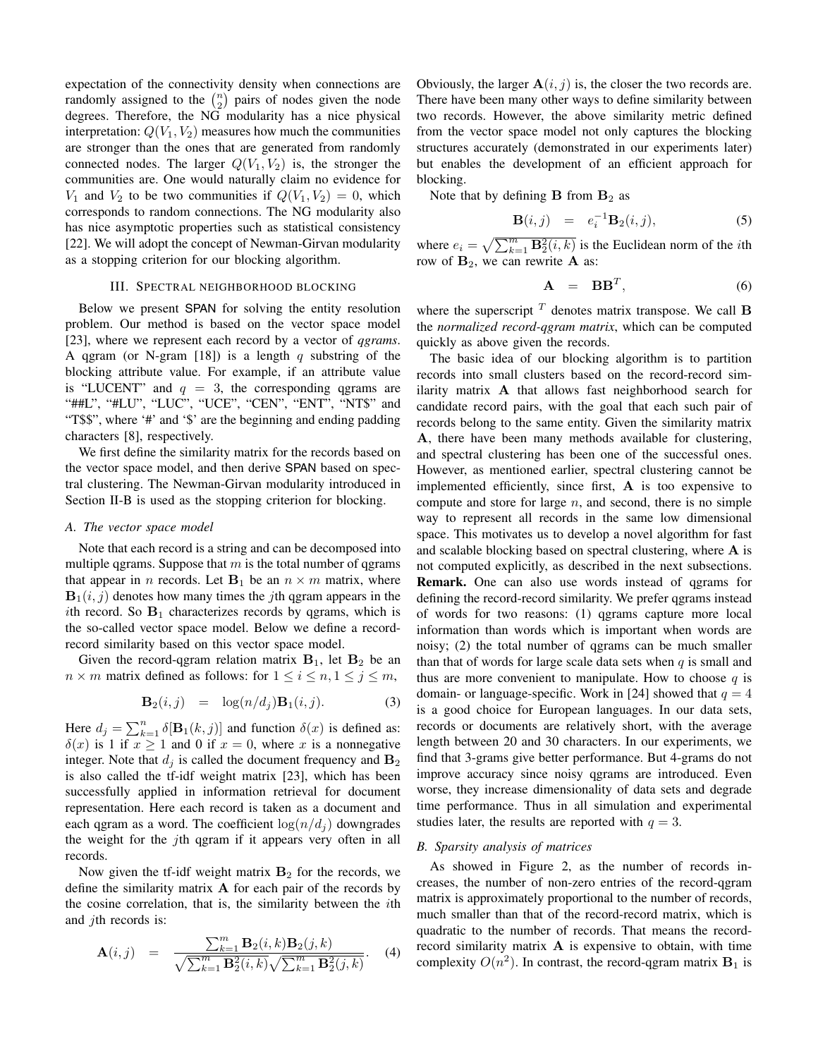expectation of the connectivity density when connections are randomly assigned to the  $\binom{n}{2}$  pairs of nodes given the node degrees. Therefore, the NG modularity has a nice physical interpretation:  $Q(V_1, V_2)$  measures how much the communities are stronger than the ones that are generated from randomly connected nodes. The larger  $Q(V_1, V_2)$  is, the stronger the communities are. One would naturally claim no evidence for  $V_1$  and  $V_2$  to be two communities if  $Q(V_1, V_2)=0$ , which corresponds to random connections. The NG modularity also has nice asymptotic properties such as statistical consistency [22]. We will adopt the concept of Newman-Girvan modularity as a stopping criterion for our blocking algorithm.

# III. SPECTRAL NEIGHBORHOOD BLOCKING

Below we present SPAN for solving the entity resolution problem. Our method is based on the vector space model [23], where we represent each record by a vector of *qgrams*. A qgram (or N-gram [18]) is a length  $q$  substring of the blocking attribute value. For example, if an attribute value is "LUCENT" and  $q = 3$ , the corresponding qgrams are "##L", "#LU", "LUC", "UCE", "CEN", "ENT", "NT\$" and "T\$\$", where '#' and '\$' are the beginning and ending padding characters [8], respectively.

We first define the similarity matrix for the records based on the vector space model, and then derive SPAN based on spectral clustering. The Newman-Girvan modularity introduced in Section II-B is used as the stopping criterion for blocking.

# *A. The vector space model*

Note that each record is a string and can be decomposed into multiple qgrams. Suppose that  $m$  is the total number of qgrams that appear in *n* records. Let  $B_1$  be an  $n \times m$  matrix, where  $\mathbf{B}_1(i, j)$  denotes how many times the *j*th qgram appears in the ith record. So  $B_1$  characterizes records by qgrams, which is the so-called vector space model. Below we define a recordrecord similarity based on this vector space model.

Given the record-qgram relation matrix  $B_1$ , let  $B_2$  be an  $n \times m$  matrix defined as follows: for  $1 \le i \le n, 1 \le j \le m$ ,

$$
\mathbf{B}_2(i,j) = \log(n/d_j)\mathbf{B}_1(i,j). \tag{3}
$$

Here  $d_j = \sum_{k=1}^n \delta[\mathbf{B}_1(k, j)]$  and function  $\delta(x)$  is defined as:  $\delta(x)$  is 1 if  $x \ge 1$  and 0 if  $x = 0$ , where x is a nonnegative integer. Note that  $d_i$  is called the document frequency and  $\mathbf{B}_2$ is also called the tf-idf weight matrix [23], which has been successfully applied in information retrieval for document representation. Here each record is taken as a document and each qgram as a word. The coefficient  $\log(n/d_i)$  downgrades the weight for the  $j$ th qgram if it appears very often in all records.

Now given the tf-idf weight matrix  $B_2$  for the records, we define the similarity matrix **A** for each pair of the records by the cosine correlation, that is, the similarity between the  $i$ th and *j*th records is:

$$
\mathbf{A}(i,j) = \frac{\sum_{k=1}^{m} \mathbf{B}_2(i,k) \mathbf{B}_2(j,k)}{\sqrt{\sum_{k=1}^{m} \mathbf{B}_2^2(i,k)} \sqrt{\sum_{k=1}^{m} \mathbf{B}_2^2(j,k)}}.
$$
 (4)

Obviously, the larger  $A(i, j)$  is, the closer the two records are. There have been many other ways to define similarity between two records. However, the above similarity metric defined from the vector space model not only captures the blocking structures accurately (demonstrated in our experiments later) but enables the development of an efficient approach for blocking.

Note that by defining  $\bf{B}$  from  $\bf{B}_2$  as

$$
\mathbf{B}(i,j) = e_i^{-1} \mathbf{B}_2(i,j), \tag{5}
$$

where  $e_i = \sqrt{\sum_{k=1}^{m} \mathbf{B}_2^2(i,k)}$  is the Euclidean norm of the *i*th row of  $\mathbf{B}_2$ , we can rewrite **A** as:

$$
\mathbf{A} = \mathbf{B} \mathbf{B}^T, \tag{6}
$$

where the superscript  $T$  denotes matrix transpose. We call **B** the *normalized record-qgram matrix*, which can be computed quickly as above given the records.

The basic idea of our blocking algorithm is to partition records into small clusters based on the record-record similarity matrix **A** that allows fast neighborhood search for candidate record pairs, with the goal that each such pair of records belong to the same entity. Given the similarity matrix **A**, there have been many methods available for clustering, and spectral clustering has been one of the successful ones. However, as mentioned earlier, spectral clustering cannot be implemented efficiently, since first, **A** is too expensive to compute and store for large  $n$ , and second, there is no simple way to represent all records in the same low dimensional space. This motivates us to develop a novel algorithm for fast and scalable blocking based on spectral clustering, where **A** is not computed explicitly, as described in the next subsections. **Remark.** One can also use words instead of qgrams for defining the record-record similarity. We prefer qgrams instead of words for two reasons: (1) qgrams capture more local information than words which is important when words are noisy; (2) the total number of qgrams can be much smaller than that of words for large scale data sets when  $q$  is small and thus are more convenient to manipulate. How to choose  $q$  is domain- or language-specific. Work in [24] showed that  $q = 4$ is a good choice for European languages. In our data sets, records or documents are relatively short, with the average length between 20 and 30 characters. In our experiments, we find that 3-grams give better performance. But 4-grams do not improve accuracy since noisy qgrams are introduced. Even worse, they increase dimensionality of data sets and degrade time performance. Thus in all simulation and experimental studies later, the results are reported with  $q = 3$ .

# *B. Sparsity analysis of matrices*

As showed in Figure 2, as the number of records increases, the number of non-zero entries of the record-qgram matrix is approximately proportional to the number of records, much smaller than that of the record-record matrix, which is quadratic to the number of records. That means the recordrecord similarity matrix **A** is expensive to obtain, with time complexity  $O(n^2)$ . In contrast, the record-qgram matrix  $\mathbf{B}_1$  is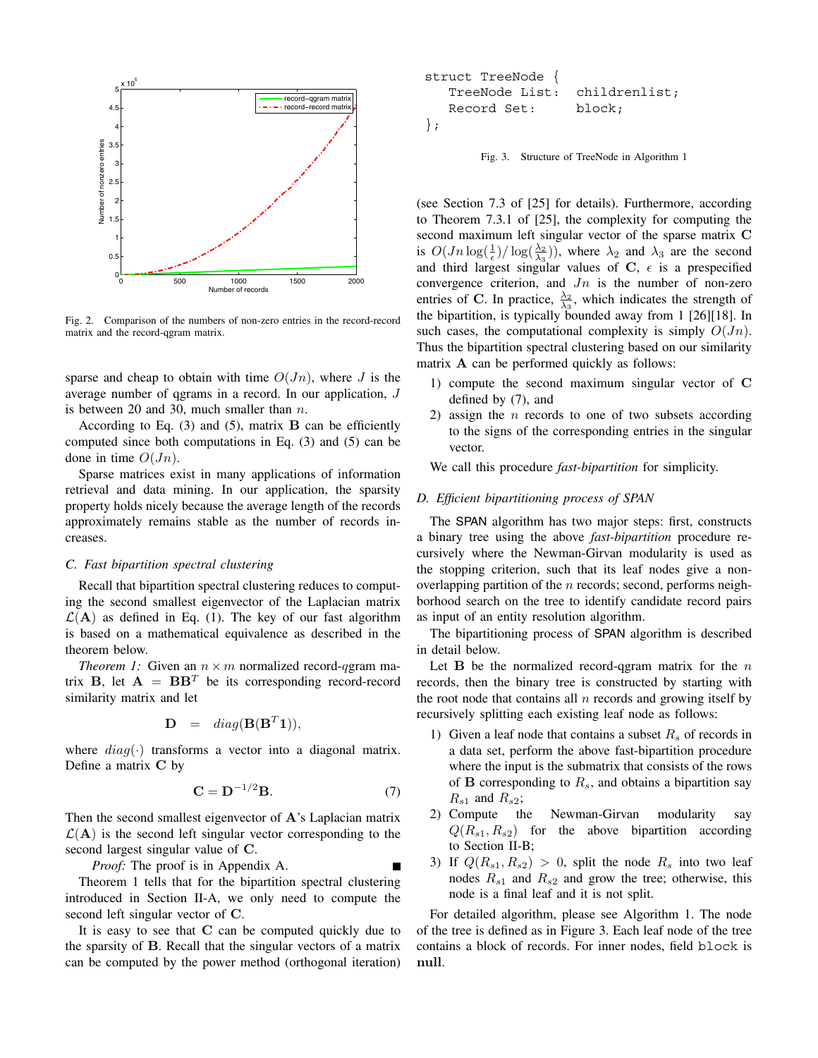

Fig. 2. Comparison of the numbers of non-zero entries in the record-record matrix and the record-qgram matrix.

sparse and cheap to obtain with time  $O(Jn)$ , where J is the average number of qgrams in a record. In our application, J is between 20 and 30, much smaller than  $n$ .

According to Eq. (3) and (5), matrix **B** can be efficiently computed since both computations in Eq. (3) and (5) can be done in time  $O(Jn)$ .

Sparse matrices exist in many applications of information retrieval and data mining. In our application, the sparsity property holds nicely because the average length of the records approximately remains stable as the number of records increases.

# *C. Fast bipartition spectral clustering*

Recall that bipartition spectral clustering reduces to computing the second smallest eigenvector of the Laplacian matrix  $\mathcal{L}(\mathbf{A})$  as defined in Eq. (1). The key of our fast algorithm is based on a mathematical equivalence as described in the theorem below.

*Theorem 1:* Given an  $n \times m$  normalized record-geram matrix **B**, let  $A = BB<sup>T</sup>$  be its corresponding record-record similarity matrix and let

$$
\mathbf{D} = diag(\mathbf{B}(\mathbf{B}^T \mathbf{1})),
$$

where  $diag(\cdot)$  transforms a vector into a diagonal matrix. Define a matrix **C** by

$$
\mathbf{C} = \mathbf{D}^{-1/2} \mathbf{B}.\tag{7}
$$

Then the second smallest eigenvector of **A**'s Laplacian matrix  $\mathcal{L}(\mathbf{A})$  is the second left singular vector corresponding to the second largest singular value of **C**.

*Proof:* The proof is in Appendix A.

Theorem 1 tells that for the bipartition spectral clustering introduced in Section II-A, we only need to compute the second left singular vector of **C**.

It is easy to see that **C** can be computed quickly due to the sparsity of **B**. Recall that the singular vectors of a matrix can be computed by the power method (orthogonal iteration)

```
struct TreeNode {
  TreeNode List: childrenlist;
  Record Set: block;
};
```
Fig. 3. Structure of TreeNode in Algorithm 1

(see Section 7.3 of [25] for details). Furthermore, according to Theorem 7.3.1 of [25], the complexity for computing the second maximum left singular vector of the sparse matrix **C** is  $O( J n \log(\frac{1}{\epsilon}) / \log(\frac{\lambda_2}{\lambda_3}))$ , where  $\lambda_2$  and  $\lambda_3$  are the second and third largest singular values of  $C$ ,  $\epsilon$  is a prespecified convergence criterion, and  $Jn$  is the number of non-zero entries of **C**. In practice,  $\frac{\lambda_2}{\lambda_3}$ , which indicates the strength of the bipartition, is typically bounded away from 1 [26][18]. In such cases, the computational complexity is simply  $O( J n)$ . Thus the bipartition spectral clustering based on our similarity matrix **A** can be performed quickly as follows:

- 1) compute the second maximum singular vector of **C** defined by (7), and
- 2) assign the  $n$  records to one of two subsets according to the signs of the corresponding entries in the singular vector.

We call this procedure *fast-bipartition* for simplicity.

# *D. Efficient bipartitioning process of SPAN*

The SPAN algorithm has two major steps: first, constructs a binary tree using the above *fast-bipartition* procedure recursively where the Newman-Girvan modularity is used as the stopping criterion, such that its leaf nodes give a nonoverlapping partition of the  $n$  records; second, performs neighborhood search on the tree to identify candidate record pairs as input of an entity resolution algorithm.

The bipartitioning process of SPAN algorithm is described in detail below.

Let **B** be the normalized record-qgram matrix for the  $n$ records, then the binary tree is constructed by starting with the root node that contains all  $n$  records and growing itself by recursively splitting each existing leaf node as follows:

- 1) Given a leaf node that contains a subset  $R_s$  of records in a data set, perform the above fast-bipartition procedure where the input is the submatrix that consists of the rows of **B** corresponding to  $R_s$ , and obtains a bipartition say  $R_{s1}$  and  $R_{s2}$ ;
- 2) Compute the Newman-Girvan modularity say  $Q(R_{s1}, R_{s2})$  for the above bipartition according to Section II-B;
- 3) If  $Q(R_{s1}, R_{s2}) > 0$ , split the node  $R_s$  into two leaf nodes  $R_{s1}$  and  $R_{s2}$  and grow the tree; otherwise, this node is a final leaf and it is not split.

For detailed algorithm, please see Algorithm 1. The node of the tree is defined as in Figure 3. Each leaf node of the tree contains a block of records. For inner nodes, field block is **null**.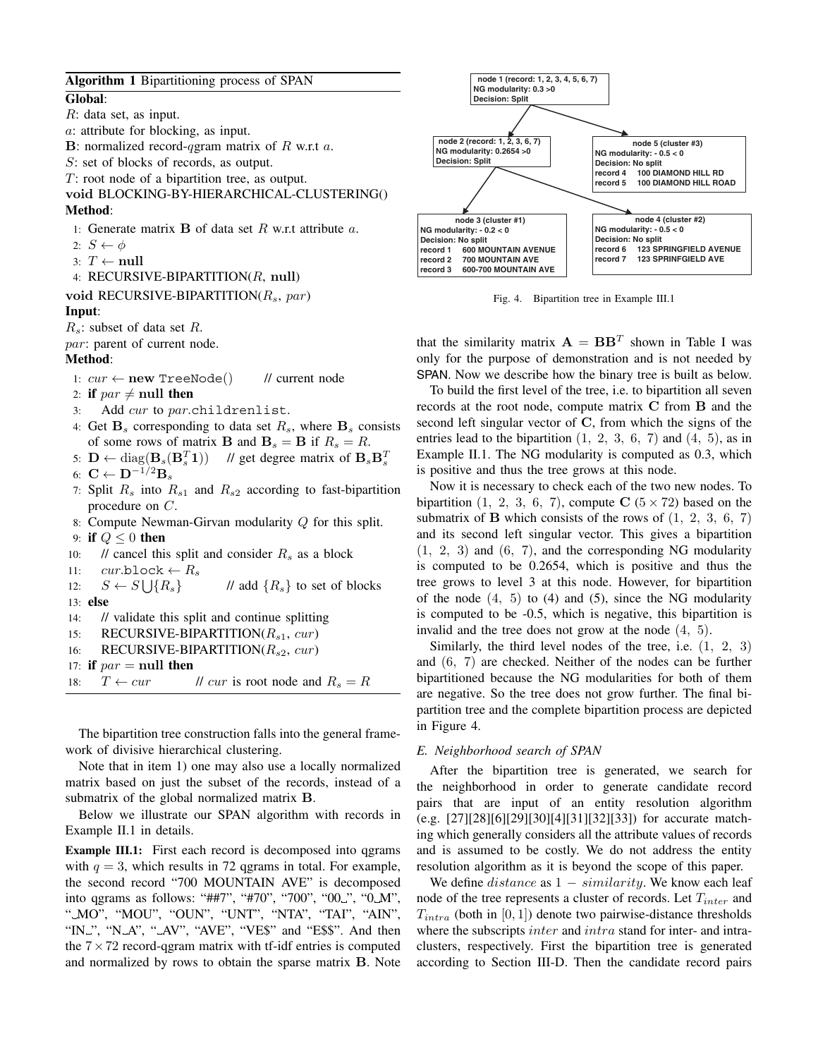# **Algorithm 1** Bipartitioning process of SPAN

# **Global**:

 $R$ : data set, as input.

- : attribute for blocking, as input.
- **B**: normalized record-qgram matrix of  $R$  w.r.t  $a$ .
- : set of blocks of records, as output.
- : root node of a bipartition tree, as output.
- **void** BLOCKING-BY-HIERARCHICAL-CLUSTERING() **Method**:
- 1: Generate matrix  $\bf{B}$  of data set  $R$  w.r.t attribute  $a$ .
- 2:  $S \leftarrow \phi$
- 3:  $T \leftarrow \text{null}$
- 4: RECURSIVE-BIPARTITION(R, null)
- void RECURSIVE-BIPARTITION( $R_s$ , par)

# **Input**:

 $R_s$ : subset of data set  $R_s$ .

par: parent of current node.

# **Method**:

- 1:  $cur \leftarrow \textbf{new TreeNode}()$  // current node
- 2: **if**  $par \neq$  **null then**
- 3: Add  $cur$  to  $par$ .childrenlist.
- 4: Get  $\mathbf{B}_s$  corresponding to data set  $R_s$ , where  $\mathbf{B}_s$  consists of some rows of matrix **B** and  $\mathbf{B}_s = \mathbf{B}$  if  $R_s = R$ .
- 5:  $\mathbf{D} \leftarrow \text{diag}(\mathbf{B}_s(\mathbf{B}_s^T \mathbf{1}))$  // get degree matrix of  $\mathbf{B}_s \mathbf{B}_s^T$
- 6: **C** ← **D**<sup>-1/2</sup>**B**<sub>s</sub>
- 7: Split  $R_s$  into  $R_{s1}$  and  $R_{s2}$  according to fast-bipartition procedure on  $C$ .
- 8: Compute Newman-Girvan modularity  $Q$  for this split.
- 9: **if**  $Q \leq 0$  **then**
- 10: // cancel this split and consider  $R_s$  as a block
- 11:  $cur.\text{block} \leftarrow R_s$
- 12:  $S \leftarrow S \cup \{R_s\}$  // add  $\{R_s\}$  to set of blocks 13: **else**
- 14: // validate this split and continue splitting
- 15: RECURSIVE-BIPARTITION( $R_{s1}$ , cur)
- 16: RECURSIVE-BIPARTITION( $R_{s2}$ , cur)
- 17: **if**  $par = null$  **then**
- 18:  $T \leftarrow cur$  //  $cur$  is root node and  $R_s = R$

The bipartition tree construction falls into the general framework of divisive hierarchical clustering.

Note that in item 1) one may also use a locally normalized matrix based on just the subset of the records, instead of a submatrix of the global normalized matrix **B**.

Below we illustrate our SPAN algorithm with records in Example II.1 in details.

**Example III.1:** First each record is decomposed into qgrams with  $q = 3$ , which results in 72 qgrams in total. For example, the second record "700 MOUNTAIN AVE" is decomposed into qgrams as follows: "##7", "#70", "700", "00.", "0. M", " MO", "MOU", "OUN", "UNT", "NTA", "TAI", "AIN", "IN ", "N A", " AV", "AVE", "VE\$" and "E\$\$". And then the  $7 \times 72$  record-qgram matrix with tf-idf entries is computed and normalized by rows to obtain the sparse matrix **B**. Note



Fig. 4. Bipartition tree in Example III.1

that the similarity matrix  $\mathbf{A} = \mathbf{B} \mathbf{B}^T$  shown in Table I was only for the purpose of demonstration and is not needed by SPAN. Now we describe how the binary tree is built as below.

To build the first level of the tree, i.e. to bipartition all seven records at the root node, compute matrix **C** from **B** and the second left singular vector of **C**, from which the signs of the entries lead to the bipartition  $(1, 2, 3, 6, 7)$  and  $(4, 5)$ , as in Example II.1. The NG modularity is computed as 0.3, which is positive and thus the tree grows at this node.

Now it is necessary to check each of the two new nodes. To bipartition  $(1, 2, 3, 6, 7)$ , compute  $C(5 \times 72)$  based on the submatrix of  $\bf{B}$  which consists of the rows of  $(1, 2, 3, 6, 7)$ and its second left singular vector. This gives a bipartition  $(1, 2, 3)$  and  $(6, 7)$ , and the corresponding NG modularity is computed to be 0.2654, which is positive and thus the tree grows to level 3 at this node. However, for bipartition of the node  $(4, 5)$  to  $(4)$  and  $(5)$ , since the NG modularity is computed to be -0.5, which is negative, this bipartition is invalid and the tree does not grow at the node (4, 5).

Similarly, the third level nodes of the tree, i.e. (1, 2, 3) and (6, 7) are checked. Neither of the nodes can be further bipartitioned because the NG modularities for both of them are negative. So the tree does not grow further. The final bipartition tree and the complete bipartition process are depicted in Figure 4.

# *E. Neighborhood search of SPAN*

After the bipartition tree is generated, we search for the neighborhood in order to generate candidate record pairs that are input of an entity resolution algorithm (e.g. [27][28][6][29][30][4][31][32][33]) for accurate matching which generally considers all the attribute values of records and is assumed to be costly. We do not address the entity resolution algorithm as it is beyond the scope of this paper.

We define  $distance$  as  $1 - similarity$ . We know each leaf node of the tree represents a cluster of records. Let  $T_{inter}$  and  $T_{intra}$  (both in [0, 1]) denote two pairwise-distance thresholds where the subscripts *inter* and *intra* stand for inter- and intraclusters, respectively. First the bipartition tree is generated according to Section III-D. Then the candidate record pairs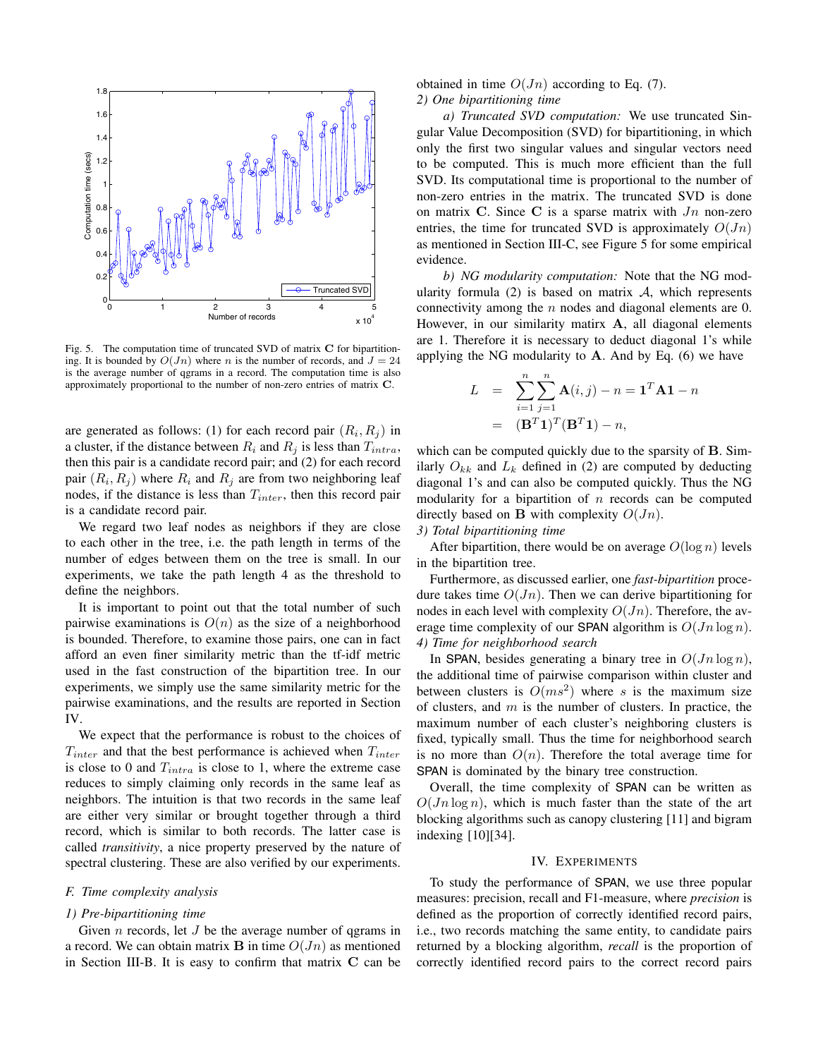

Fig. 5. The computation time of truncated SVD of matrix **C** for bipartitioning. It is bounded by  $O(Jn)$  where *n* is the number of records, and  $J = 24$ is the average number of qgrams in a record. The computation time is also approximately proportional to the number of non-zero entries of matrix **C**.

are generated as follows: (1) for each record pair  $(R_i, R_j)$  in a cluster, if the distance between  $R_i$  and  $R_j$  is less than  $T_{intra}$ , then this pair is a candidate record pair; and (2) for each record pair  $(R_i, R_j)$  where  $R_i$  and  $R_j$  are from two neighboring leaf nodes, if the distance is less than  $T_{inter}$ , then this record pair is a candidate record pair.

We regard two leaf nodes as neighbors if they are close to each other in the tree, i.e. the path length in terms of the number of edges between them on the tree is small. In our experiments, we take the path length 4 as the threshold to define the neighbors.

It is important to point out that the total number of such pairwise examinations is  $O(n)$  as the size of a neighborhood is bounded. Therefore, to examine those pairs, one can in fact afford an even finer similarity metric than the tf-idf metric used in the fast construction of the bipartition tree. In our experiments, we simply use the same similarity metric for the pairwise examinations, and the results are reported in Section IV.

We expect that the performance is robust to the choices of  $T_{inter}$  and that the best performance is achieved when  $T_{inter}$ is close to 0 and  $T_{intra}$  is close to 1, where the extreme case reduces to simply claiming only records in the same leaf as neighbors. The intuition is that two records in the same leaf are either very similar or brought together through a third record, which is similar to both records. The latter case is called *transitivity*, a nice property preserved by the nature of spectral clustering. These are also verified by our experiments.

# *F. Time complexity analysis*

# *1) Pre-bipartitioning time*

Given *n* records, let *J* be the average number of qgrams in a record. We can obtain matrix **B** in time  $O(Jn)$  as mentioned in Section III-B. It is easy to confirm that matrix **C** can be obtained in time  $O(Jn)$  according to Eq. (7). *2) One bipartitioning time*

*a) Truncated SVD computation:* We use truncated Singular Value Decomposition (SVD) for bipartitioning, in which only the first two singular values and singular vectors need to be computed. This is much more efficient than the full SVD. Its computational time is proportional to the number of non-zero entries in the matrix. The truncated SVD is done on matrix  $C$ . Since  $C$  is a sparse matrix with  $Jn$  non-zero entries, the time for truncated SVD is approximately  $O(Jn)$ as mentioned in Section III-C, see Figure 5 for some empirical evidence.

*b) NG modularity computation:* Note that the NG modularity formula  $(2)$  is based on matrix  $A$ , which represents connectivity among the  $n$  nodes and diagonal elements are  $0$ . However, in our similarity matirx **A**, all diagonal elements are 1. Therefore it is necessary to deduct diagonal 1's while applying the NG modularity to **A**. And by Eq. (6) we have

$$
L = \sum_{i=1}^{n} \sum_{j=1}^{n} \mathbf{A}(i, j) - n = \mathbf{1}^{T} \mathbf{A} \mathbf{1} - n
$$

$$
= (\mathbf{B}^{T} \mathbf{1})^{T} (\mathbf{B}^{T} \mathbf{1}) - n,
$$

which can be computed quickly due to the sparsity of **B**. Similarly  $O_{kk}$  and  $L_k$  defined in (2) are computed by deducting diagonal 1's and can also be computed quickly. Thus the NG modularity for a bipartition of  $n$  records can be computed directly based on **B** with complexity  $O(Jn)$ .

# *3) Total bipartitioning time*

After bipartition, there would be on average  $O(\log n)$  levels in the bipartition tree.

Furthermore, as discussed earlier, one *fast-bipartition* procedure takes time  $O(Jn)$ . Then we can derive bipartitioning for nodes in each level with complexity  $O(Jn)$ . Therefore, the average time complexity of our SPAN algorithm is  $O( J n \log n)$ . *4) Time for neighborhood search*

In SPAN, besides generating a binary tree in  $O( J n \log n)$ , the additional time of pairwise comparison within cluster and between clusters is  $O(ms^2)$  where *s* is the maximum size of clusters, and  $m$  is the number of clusters. In practice, the maximum number of each cluster's neighboring clusters is fixed, typically small. Thus the time for neighborhood search is no more than  $O(n)$ . Therefore the total average time for SPAN is dominated by the binary tree construction.

Overall, the time complexity of SPAN can be written as  $O( Jn \log n)$ , which is much faster than the state of the art blocking algorithms such as canopy clustering [11] and bigram indexing [10][34].

# IV. EXPERIMENTS

To study the performance of SPAN, we use three popular measures: precision, recall and F1-measure, where *precision* is defined as the proportion of correctly identified record pairs, i.e., two records matching the same entity, to candidate pairs returned by a blocking algorithm, *recall* is the proportion of correctly identified record pairs to the correct record pairs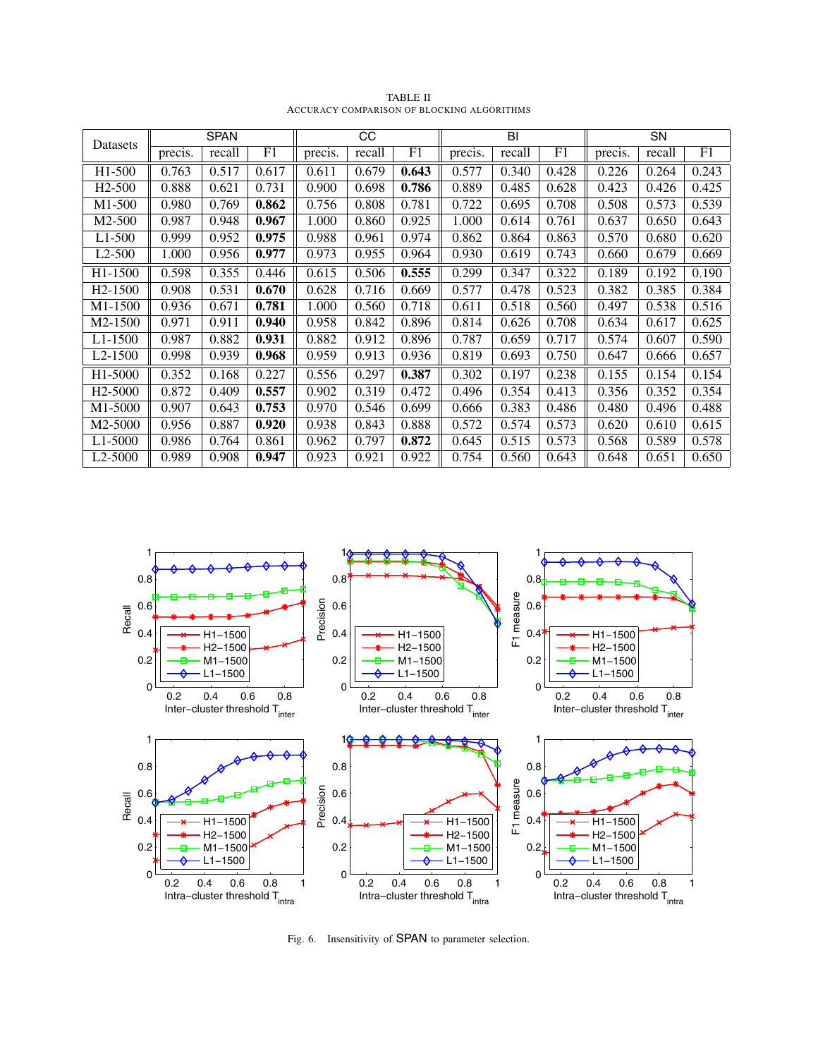| Datasets             | <b>SPAN</b> |        | CC    |         | BI     |       |         | <b>SN</b> |       |         |        |       |
|----------------------|-------------|--------|-------|---------|--------|-------|---------|-----------|-------|---------|--------|-------|
|                      | precis.     | recall | F1    | precis. | recall | F1    | precis. | recall    | F1    | precis. | recall | F1    |
| H1-500               | 0.763       | 0.517  | 0.617 | 0.611   | 0.679  | 0.643 | 0.577   | 0.340     | 0.428 | 0.226   | 0.264  | 0.243 |
| $H2-500$             | 0.888       | 0.621  | 0.731 | 0.900   | 0.698  | 0.786 | 0.889   | 0.485     | 0.628 | 0.423   | 0.426  | 0.425 |
| M1-500               | 0.980       | 0.769  | 0.862 | 0.756   | 0.808  | 0.781 | 0.722   | 0.695     | 0.708 | 0.508   | 0.573  | 0.539 |
| M2-500               | 0.987       | 0.948  | 0.967 | 1.000   | 0.860  | 0.925 | 1.000   | 0.614     | 0.761 | 0.637   | 0.650  | 0.643 |
| $L1-500$             | 0.999       | 0.952  | 0.975 | 0.988   | 0.961  | 0.974 | 0.862   | 0.864     | 0.863 | 0.570   | 0.680  | 0.620 |
| $L2-500$             | 1.000       | 0.956  | 0.977 | 0.973   | 0.955  | 0.964 | 0.930   | 0.619     | 0.743 | 0.660   | 0.679  | 0.669 |
| H1-1500              | 0.598       | 0.355  | 0.446 | 0.615   | 0.506  | 0.555 | 0.299   | 0.347     | 0.322 | 0.189   | 0.192  | 0.190 |
| H <sub>2</sub> -1500 | 0.908       | 0.531  | 0.670 | 0.628   | 0.716  | 0.669 | 0.577   | 0.478     | 0.523 | 0.382   | 0.385  | 0.384 |
| M1-1500              | 0.936       | 0.671  | 0.781 | 1.000   | 0.560  | 0.718 | 0.611   | 0.518     | 0.560 | 0.497   | 0.538  | 0.516 |
| M2-1500              | 0.971       | 0.911  | 0.940 | 0.958   | 0.842  | 0.896 | 0.814   | 0.626     | 0.708 | 0.634   | 0.617  | 0.625 |
| $L1-1500$            | 0.987       | 0.882  | 0.931 | 0.882   | 0.912  | 0.896 | 0.787   | 0.659     | 0.717 | 0.574   | 0.607  | 0.590 |
| $L2 - 1500$          | 0.998       | 0.939  | 0.968 | 0.959   | 0.913  | 0.936 | 0.819   | 0.693     | 0.750 | 0.647   | 0.666  | 0.657 |
| H <sub>1</sub> -5000 | 0.352       | 0.168  | 0.227 | 0.556   | 0.297  | 0.387 | 0.302   | 0.197     | 0.238 | 0.155   | 0.154  | 0.154 |
| H <sub>2</sub> -5000 | 0.872       | 0.409  | 0.557 | 0.902   | 0.319  | 0.472 | 0.496   | 0.354     | 0.413 | 0.356   | 0.352  | 0.354 |
| M1-5000              | 0.907       | 0.643  | 0.753 | 0.970   | 0.546  | 0.699 | 0.666   | 0.383     | 0.486 | 0.480   | 0.496  | 0.488 |
| M2-5000              | 0.956       | 0.887  | 0.920 | 0.938   | 0.843  | 0.888 | 0.572   | 0.574     | 0.573 | 0.620   | 0.610  | 0.615 |
| L1-5000              | 0.986       | 0.764  | 0.861 | 0.962   | 0.797  | 0.872 | 0.645   | 0.515     | 0.573 | 0.568   | 0.589  | 0.578 |
| L <sub>2</sub> -5000 | 0.989       | 0.908  | 0.947 | 0.923   | 0.921  | 0.922 | 0.754   | 0.560     | 0.643 | 0.648   | 0.651  | 0.650 |

TABLE II ACCURACY COMPARISON OF BLOCKING ALGORITHMS



Fig. 6. Insensitivity of SPAN to parameter selection.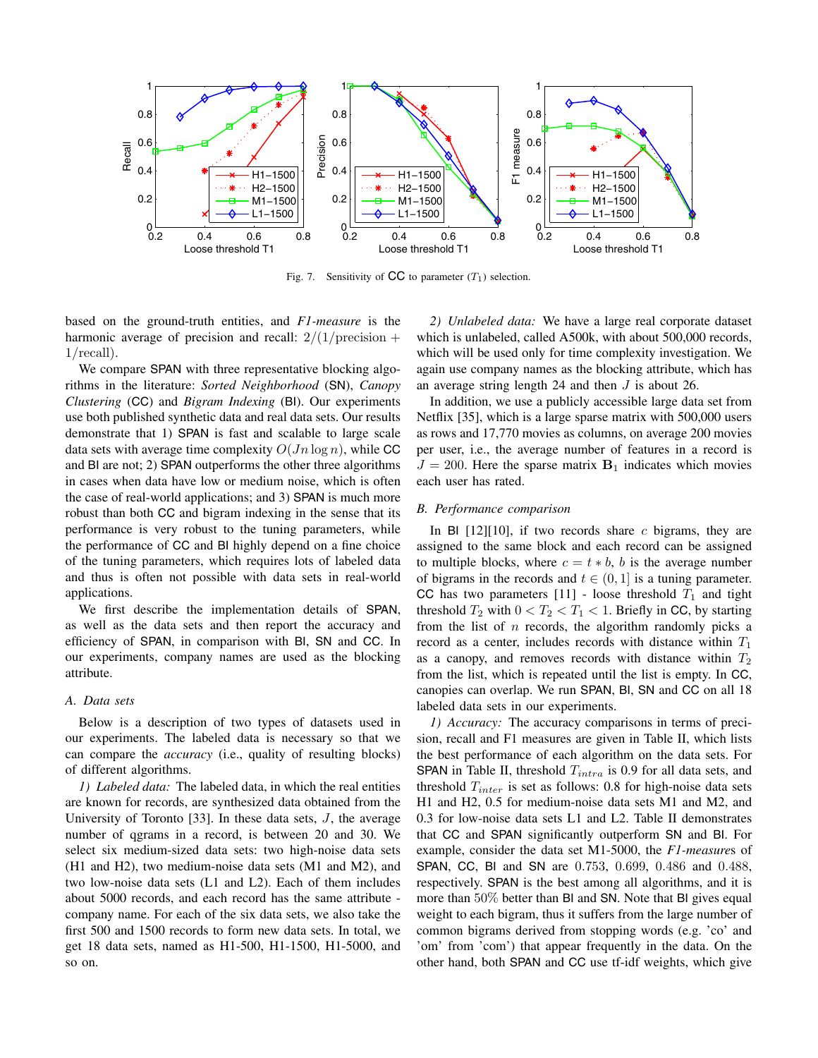

Fig. 7. Sensitivity of  $CC$  to parameter  $(T_1)$  selection.

based on the ground-truth entities, and *F1-measure* is the harmonic average of precision and recall:  $2/(1/\text{precision} +$ 1/recall).

We compare SPAN with three representative blocking algorithms in the literature: *Sorted Neighborhood* (SN), *Canopy Clustering* (CC) and *Bigram Indexing* (BI). Our experiments use both published synthetic data and real data sets. Our results demonstrate that 1) SPAN is fast and scalable to large scale data sets with average time complexity  $O( Jn \log n)$ , while CC and BI are not; 2) SPAN outperforms the other three algorithms in cases when data have low or medium noise, which is often the case of real-world applications; and 3) SPAN is much more robust than both CC and bigram indexing in the sense that its performance is very robust to the tuning parameters, while the performance of CC and BI highly depend on a fine choice of the tuning parameters, which requires lots of labeled data and thus is often not possible with data sets in real-world applications.

We first describe the implementation details of SPAN, as well as the data sets and then report the accuracy and efficiency of SPAN, in comparison with BI, SN and CC. In our experiments, company names are used as the blocking attribute.

## *A. Data sets*

Below is a description of two types of datasets used in our experiments. The labeled data is necessary so that we can compare the *accuracy* (i.e., quality of resulting blocks) of different algorithms.

*1) Labeled data:* The labeled data, in which the real entities are known for records, are synthesized data obtained from the University of Toronto [33]. In these data sets,  $J$ , the average number of qgrams in a record, is between 20 and 30. We select six medium-sized data sets: two high-noise data sets (H1 and H2), two medium-noise data sets (M1 and M2), and two low-noise data sets (L1 and L2). Each of them includes about 5000 records, and each record has the same attribute company name. For each of the six data sets, we also take the first 500 and 1500 records to form new data sets. In total, we get 18 data sets, named as H1-500, H1-1500, H1-5000, and so on.

*2) Unlabeled data:* We have a large real corporate dataset which is unlabeled, called A500k, with about 500,000 records, which will be used only for time complexity investigation. We again use company names as the blocking attribute, which has an average string length 24 and then  $J$  is about 26.

In addition, we use a publicly accessible large data set from Netflix [35], which is a large sparse matrix with 500,000 users as rows and 17,770 movies as columns, on average 200 movies per user, i.e., the average number of features in a record is  $J = 200$ . Here the sparse matrix  $B_1$  indicates which movies each user has rated.

# *B. Performance comparison*

In BI  $[12][10]$ , if two records share c bigrams, they are assigned to the same block and each record can be assigned to multiple blocks, where  $c = t * b$ , b is the average number of bigrams in the records and  $t \in (0, 1]$  is a tuning parameter. CC has two parameters  $[11]$  - loose threshold  $T_1$  and tight threshold  $T_2$  with  $0 < T_2 < T_1 < 1$ . Briefly in CC, by starting from the list of  $n$  records, the algorithm randomly picks a record as a center, includes records with distance within  $T_1$ as a canopy, and removes records with distance within  $T_2$ from the list, which is repeated until the list is empty. In CC, canopies can overlap. We run SPAN, BI, SN and CC on all 18 labeled data sets in our experiments.

*1) Accuracy:* The accuracy comparisons in terms of precision, recall and F1 measures are given in Table II, which lists the best performance of each algorithm on the data sets. For SPAN in Table II, threshold  $T_{intra}$  is 0.9 for all data sets, and threshold  $T_{inter}$  is set as follows: 0.8 for high-noise data sets H1 and H2, 0.5 for medium-noise data sets M1 and M2, and 0.3 for low-noise data sets L1 and L2. Table II demonstrates that CC and SPAN significantly outperform SN and BI. For example, consider the data set M1-5000, the *F1-measure*s of SPAN, CC, BI and SN are 0.753, 0.699, 0.486 and 0.488, respectively. SPAN is the best among all algorithms, and it is more than 50% better than BI and SN. Note that BI gives equal weight to each bigram, thus it suffers from the large number of common bigrams derived from stopping words (e.g. 'co' and 'om' from 'com') that appear frequently in the data. On the other hand, both SPAN and CC use tf-idf weights, which give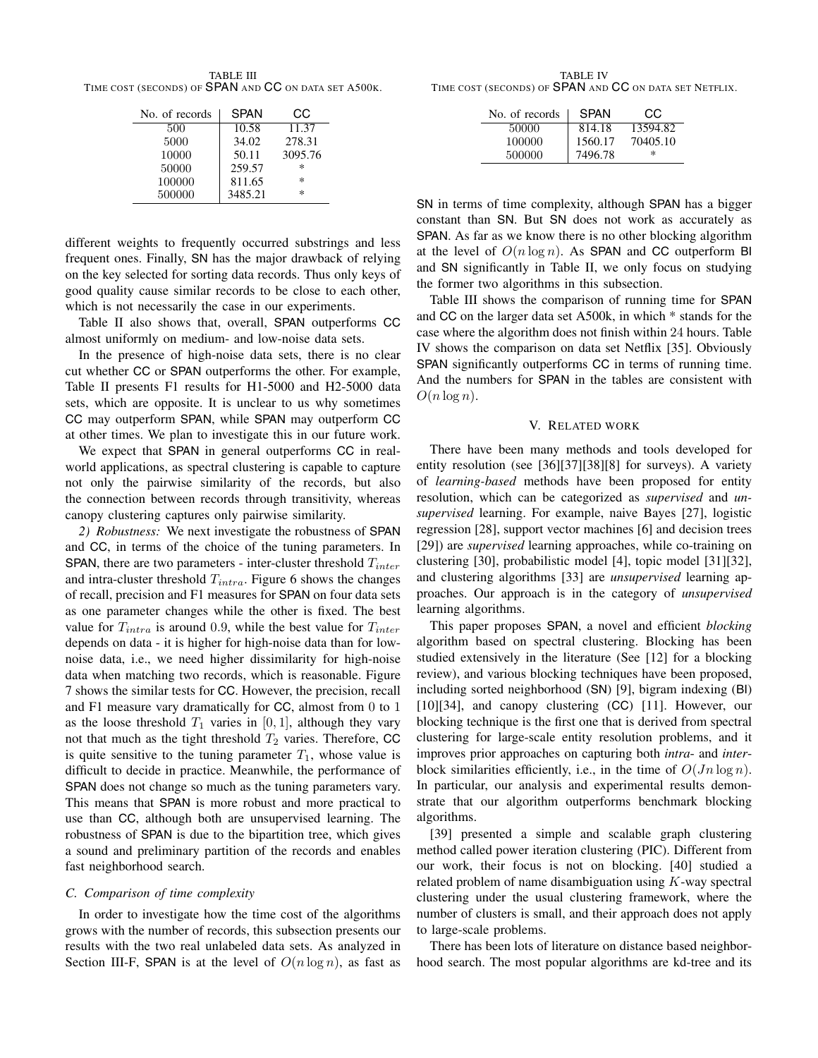TABLE III TIME COST (SECONDS) OF SPAN AND CC ON DATA SET A500K.

| No. of records | <b>SPAN</b> | CС      |
|----------------|-------------|---------|
| 500            | 10.58       | 11.37   |
| 5000           | 34.02       | 278.31  |
| 10000          | 50.11       | 3095.76 |
| 50000          | 259.57      | ×       |
| 100000         | 811.65      | *       |
| 500000         | 3485.21     | *       |

different weights to frequently occurred substrings and less frequent ones. Finally, SN has the major drawback of relying on the key selected for sorting data records. Thus only keys of good quality cause similar records to be close to each other, which is not necessarily the case in our experiments.

Table II also shows that, overall, SPAN outperforms CC almost uniformly on medium- and low-noise data sets.

In the presence of high-noise data sets, there is no clear cut whether CC or SPAN outperforms the other. For example, Table II presents F1 results for H1-5000 and H2-5000 data sets, which are opposite. It is unclear to us why sometimes CC may outperform SPAN, while SPAN may outperform CC at other times. We plan to investigate this in our future work.

We expect that SPAN in general outperforms CC in realworld applications, as spectral clustering is capable to capture not only the pairwise similarity of the records, but also the connection between records through transitivity, whereas canopy clustering captures only pairwise similarity.

*2) Robustness:* We next investigate the robustness of SPAN and CC, in terms of the choice of the tuning parameters. In SPAN, there are two parameters - inter-cluster threshold  $T_{inter}$ and intra-cluster threshold  $T_{intra}$ . Figure 6 shows the changes of recall, precision and F1 measures for SPAN on four data sets as one parameter changes while the other is fixed. The best value for  $T_{intra}$  is around 0.9, while the best value for  $T_{inter}$ depends on data - it is higher for high-noise data than for lownoise data, i.e., we need higher dissimilarity for high-noise data when matching two records, which is reasonable. Figure 7 shows the similar tests for CC. However, the precision, recall and F1 measure vary dramatically for CC, almost from 0 to 1 as the loose threshold  $T_1$  varies in [0, 1], although they vary not that much as the tight threshold  $T_2$  varies. Therefore, CC is quite sensitive to the tuning parameter  $T_1$ , whose value is difficult to decide in practice. Meanwhile, the performance of SPAN does not change so much as the tuning parameters vary. This means that SPAN is more robust and more practical to use than CC, although both are unsupervised learning. The robustness of SPAN is due to the bipartition tree, which gives a sound and preliminary partition of the records and enables fast neighborhood search.

## *C. Comparison of time complexity*

In order to investigate how the time cost of the algorithms grows with the number of records, this subsection presents our results with the two real unlabeled data sets. As analyzed in Section III-F, SPAN is at the level of  $O(n \log n)$ , as fast as

TABLE IV TIME COST (SECONDS) OF SPAN AND CC ON DATA SET NETFLIX.

| No. of records | <b>SPAN</b> | CC.      |
|----------------|-------------|----------|
| 50000          | 814.18      | 13594.82 |
| 100000         | 1560.17     | 70405.10 |
| 500000         | 7496.78     | ж        |

SN in terms of time complexity, although SPAN has a bigger constant than SN. But SN does not work as accurately as SPAN. As far as we know there is no other blocking algorithm at the level of  $O(n \log n)$ . As SPAN and CC outperform BI and SN significantly in Table II, we only focus on studying the former two algorithms in this subsection.

Table III shows the comparison of running time for SPAN and CC on the larger data set A500k, in which \* stands for the case where the algorithm does not finish within 24 hours. Table IV shows the comparison on data set Netflix [35]. Obviously SPAN significantly outperforms CC in terms of running time. And the numbers for SPAN in the tables are consistent with  $O(n \log n)$ .

### V. RELATED WORK

There have been many methods and tools developed for entity resolution (see [36][37][38][8] for surveys). A variety of *learning-based* methods have been proposed for entity resolution, which can be categorized as *supervised* and *unsupervised* learning. For example, naive Bayes [27], logistic regression [28], support vector machines [6] and decision trees [29]) are *supervised* learning approaches, while co-training on clustering [30], probabilistic model [4], topic model [31][32], and clustering algorithms [33] are *unsupervised* learning approaches. Our approach is in the category of *unsupervised* learning algorithms.

This paper proposes SPAN, a novel and efficient *blocking* algorithm based on spectral clustering. Blocking has been studied extensively in the literature (See [12] for a blocking review), and various blocking techniques have been proposed, including sorted neighborhood (SN) [9], bigram indexing (BI) [10][34], and canopy clustering (CC) [11]. However, our blocking technique is the first one that is derived from spectral clustering for large-scale entity resolution problems, and it improves prior approaches on capturing both *intra*- and *inter*block similarities efficiently, i.e., in the time of  $O( J n \log n)$ . In particular, our analysis and experimental results demonstrate that our algorithm outperforms benchmark blocking algorithms.

[39] presented a simple and scalable graph clustering method called power iteration clustering (PIC). Different from our work, their focus is not on blocking. [40] studied a related problem of name disambiguation using  $K$ -way spectral clustering under the usual clustering framework, where the number of clusters is small, and their approach does not apply to large-scale problems.

There has been lots of literature on distance based neighborhood search. The most popular algorithms are kd-tree and its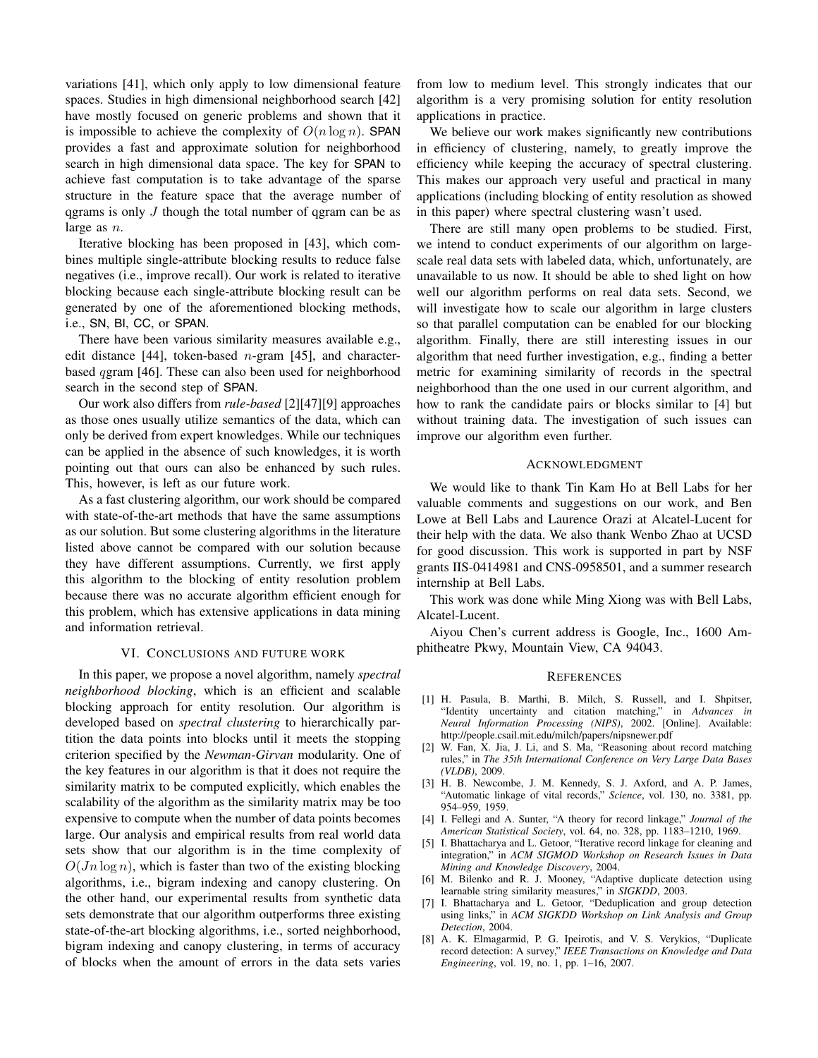variations [41], which only apply to low dimensional feature spaces. Studies in high dimensional neighborhood search [42] have mostly focused on generic problems and shown that it is impossible to achieve the complexity of  $O(n \log n)$ . SPAN provides a fast and approximate solution for neighborhood search in high dimensional data space. The key for SPAN to achieve fast computation is to take advantage of the sparse structure in the feature space that the average number of qgrams is only  $J$  though the total number of qgram can be as large as  $n$ .

Iterative blocking has been proposed in [43], which combines multiple single-attribute blocking results to reduce false negatives (i.e., improve recall). Our work is related to iterative blocking because each single-attribute blocking result can be generated by one of the aforementioned blocking methods, i.e., SN, BI, CC, or SPAN.

There have been various similarity measures available e.g., edit distance [44], token-based  $n$ -gram [45], and characterbased gram [46]. These can also been used for neighborhood search in the second step of SPAN.

Our work also differs from *rule-based* [2][47][9] approaches as those ones usually utilize semantics of the data, which can only be derived from expert knowledges. While our techniques can be applied in the absence of such knowledges, it is worth pointing out that ours can also be enhanced by such rules. This, however, is left as our future work.

As a fast clustering algorithm, our work should be compared with state-of-the-art methods that have the same assumptions as our solution. But some clustering algorithms in the literature listed above cannot be compared with our solution because they have different assumptions. Currently, we first apply this algorithm to the blocking of entity resolution problem because there was no accurate algorithm efficient enough for this problem, which has extensive applications in data mining and information retrieval.

# VI. CONCLUSIONS AND FUTURE WORK

In this paper, we propose a novel algorithm, namely *spectral neighborhood blocking*, which is an efficient and scalable blocking approach for entity resolution. Our algorithm is developed based on *spectral clustering* to hierarchically partition the data points into blocks until it meets the stopping criterion specified by the *Newman-Girvan* modularity. One of the key features in our algorithm is that it does not require the similarity matrix to be computed explicitly, which enables the scalability of the algorithm as the similarity matrix may be too expensive to compute when the number of data points becomes large. Our analysis and empirical results from real world data sets show that our algorithm is in the time complexity of  $O( Jn \log n)$ , which is faster than two of the existing blocking algorithms, i.e., bigram indexing and canopy clustering. On the other hand, our experimental results from synthetic data sets demonstrate that our algorithm outperforms three existing state-of-the-art blocking algorithms, i.e., sorted neighborhood, bigram indexing and canopy clustering, in terms of accuracy of blocks when the amount of errors in the data sets varies

from low to medium level. This strongly indicates that our algorithm is a very promising solution for entity resolution applications in practice.

We believe our work makes significantly new contributions in efficiency of clustering, namely, to greatly improve the efficiency while keeping the accuracy of spectral clustering. This makes our approach very useful and practical in many applications (including blocking of entity resolution as showed in this paper) where spectral clustering wasn't used.

There are still many open problems to be studied. First, we intend to conduct experiments of our algorithm on largescale real data sets with labeled data, which, unfortunately, are unavailable to us now. It should be able to shed light on how well our algorithm performs on real data sets. Second, we will investigate how to scale our algorithm in large clusters so that parallel computation can be enabled for our blocking algorithm. Finally, there are still interesting issues in our algorithm that need further investigation, e.g., finding a better metric for examining similarity of records in the spectral neighborhood than the one used in our current algorithm, and how to rank the candidate pairs or blocks similar to [4] but without training data. The investigation of such issues can improve our algorithm even further.

### ACKNOWLEDGMENT

We would like to thank Tin Kam Ho at Bell Labs for her valuable comments and suggestions on our work, and Ben Lowe at Bell Labs and Laurence Orazi at Alcatel-Lucent for their help with the data. We also thank Wenbo Zhao at UCSD for good discussion. This work is supported in part by NSF grants IIS-0414981 and CNS-0958501, and a summer research internship at Bell Labs.

This work was done while Ming Xiong was with Bell Labs, Alcatel-Lucent.

Aiyou Chen's current address is Google, Inc., 1600 Amphitheatre Pkwy, Mountain View, CA 94043.

#### **REFERENCES**

- [1] H. Pasula, B. Marthi, B. Milch, S. Russell, and I. Shpitser, "Identity uncertainty and citation matching," in *Advances in Neural Information Processing (NIPS)*, 2002. [Online]. Available: http://people.csail.mit.edu/milch/papers/nipsnewer.pdf
- [2] W. Fan, X. Jia, J. Li, and S. Ma, "Reasoning about record matching rules," in *The 35th International Conference on Very Large Data Bases (VLDB)*, 2009.
- [3] H. B. Newcombe, J. M. Kennedy, S. J. Axford, and A. P. James, "Automatic linkage of vital records," *Science*, vol. 130, no. 3381, pp. 954–959, 1959.
- [4] I. Fellegi and A. Sunter, "A theory for record linkage," *Journal of the American Statistical Society*, vol. 64, no. 328, pp. 1183–1210, 1969.
- [5] I. Bhattacharya and L. Getoor, "Iterative record linkage for cleaning and integration," in *ACM SIGMOD Workshop on Research Issues in Data Mining and Knowledge Discovery*, 2004.
- [6] M. Bilenko and R. J. Mooney, "Adaptive duplicate detection using learnable string similarity measures," in *SIGKDD*, 2003.
- [7] I. Bhattacharya and L. Getoor, "Deduplication and group detection using links," in *ACM SIGKDD Workshop on Link Analysis and Group Detection*, 2004.
- [8] A. K. Elmagarmid, P. G. Ipeirotis, and V. S. Verykios, "Duplicate record detection: A survey," *IEEE Transactions on Knowledge and Data Engineering*, vol. 19, no. 1, pp. 1–16, 2007.